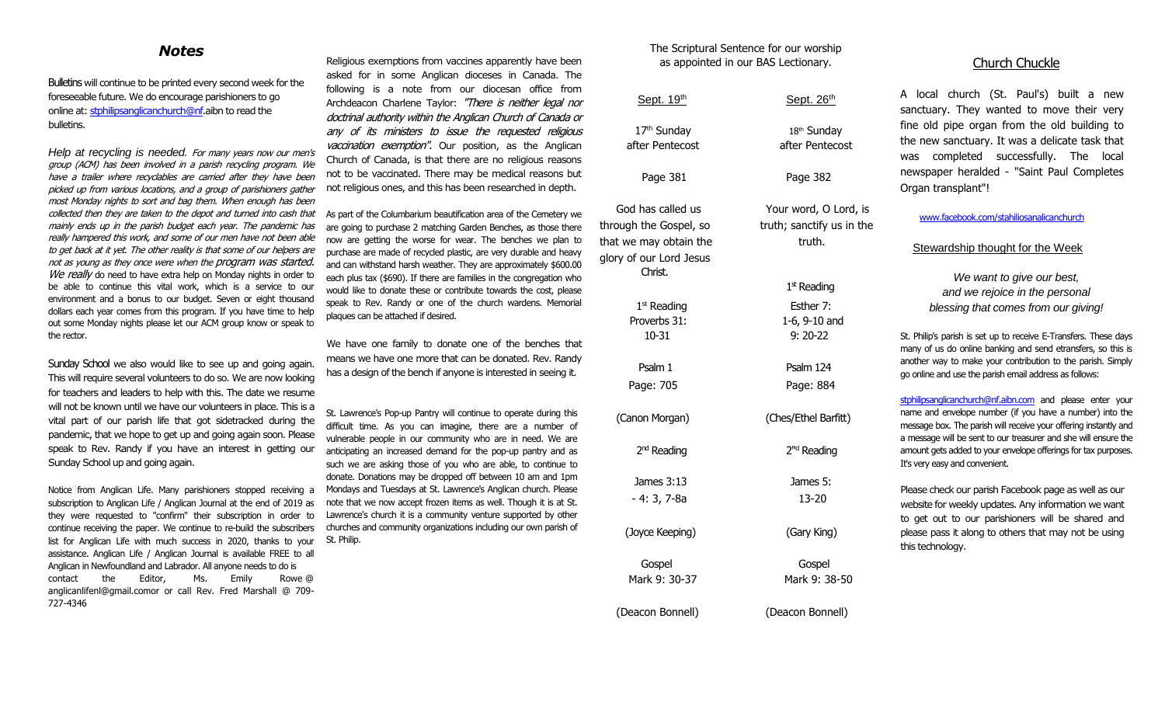# *Notes*

Bulletins will continue to be printed every second week for the foreseeable future. We do encourage parishioners to go online at[: stphilipsanglicanchurch@nf.](mailto:stphilipsanglicanchurch@nf)aibn to read the bulletins.

*Help at recycling is needed.* For many years now our men's group (ACM) has been involved in a parish recycling program. We have a trailer where recyclables are carried after they have been picked up from various locations, and a group of parishioners gather most Monday nights to sort and bag them. When enough has been collected then they are taken to the depot and turned into cash that mainly ends up in the parish budget each year. The pandemic has really hampered this work, and some of our men have not been able to get back at it yet. The other reality is that some of our helpers are not as young as they once were when the program was started. We really do need to have extra help on Monday nights in order to be able to continue this vital work, which is a service to our environment and a bonus to our budget. Seven or eight thousand dollars each year comes from this program. If you have time to help out some Monday nights please let our ACM group know or speak to the rector.

Sunday School we also would like to see up and going again. This will require several volunteers to do so. We are now looking for teachers and leaders to help with this. The date we resume will not be known until we have our volunteers in place. This is a vital part of our parish life that got sidetracked during the pandemic, that we hope to get up and going again soon. Please speak to Rev. Randy if you have an interest in getting our Sunday School up and going again.

Notice from Anglican Life. Many parishioners stopped receiving a subscription to Anglican Life / Anglican Journal at the end of 2019 as they were requested to "confirm" their subscription in order to continue receiving the paper. We continue to re-build the subscribers list for Anglican Life with much success in 2020, thanks to your assistance. Anglican Life / Anglican Journal is available FREE to all Anglican in Newfoundland and Labrador. All anyone needs to do is contact the Editor, Ms. Emily Rowe @ anglicanlifenl@gmail.comor or call Rev. Fred Marshall @ 709- 727-4346

Religious exemptions from vaccines apparently have been asked for in some Anglican dioceses in Canada. The following is a note from our diocesan office from Archdeacon Charlene Taylor: "There is neither legal nor doctrinal authority within the Anglican Church of Canada or any of its ministers to issue the requested religious vaccination exemption". Our position, as the Anglican Church of Canada, is that there are no religious reasons not to be vaccinated. There may be medical reasons but not religious ones, and this has been researched in depth.

As part of the Columbarium beautification area of the Cemetery we are going to purchase 2 matching Garden Benches, as those there now are getting the worse for wear. The benches we plan to purchase are made of recycled plastic, are very durable and heavy and can withstand harsh weather. They are approximately \$600.00 each plus tax (\$690). If there are families in the congregation who would like to donate these or contribute towards the cost, please speak to Rev. Randy or one of the church wardens. Memorial plaques can be attached if desired.

We have one family to donate one of the benches that means we have one more that can be donated. Rev. Randy has a design of the bench if anyone is interested in seeing it.

St. Lawrence's Pop-up Pantry will continue to operate during this difficult time. As you can imagine, there are a number of vulnerable people in our community who are in need. We are anticipating an increased demand for the pop-up pantry and as such we are asking those of you who are able, to continue to donate. Donations may be dropped off between 10 am and 1pm Mondays and Tuesdays at St. Lawrence's Anglican church. Please note that we now accept frozen items as well. Though it is at St. Lawrence's church it is a community venture supported by other churches and community organizations including our own parish of St. Philip.

### The Scriptural Sentence for our worship as appointed in our BAS Lectionary.

| Sept. 19th                                                                                                  | Sept. 26th                                                   |
|-------------------------------------------------------------------------------------------------------------|--------------------------------------------------------------|
| 17th Sunday<br>after Pentecost                                                                              | 18th Sunday<br>after Pentecost                               |
| Page 381                                                                                                    | Page 382                                                     |
| God has called us<br>through the Gospel, so<br>that we may obtain the<br>glory of our Lord Jesus<br>Christ. | Your word, O Lord, is<br>truth; sanctify us in the<br>truth. |
|                                                                                                             | $1st$ Reading                                                |
| 1 <sup>st</sup> Reading<br>Proverbs 31:<br>$10 - 31$                                                        | Esther 7:<br>1-6, 9-10 and<br>$9:20-22$                      |
|                                                                                                             |                                                              |
| Psalm 1                                                                                                     | Psalm 124                                                    |
| Page: 705                                                                                                   | Page: 884                                                    |
| (Canon Morgan)                                                                                              | (Ches/Ethel Barfitt)                                         |
| 2 <sup>nd</sup> Reading                                                                                     | 2" <sup>d</sup> Reading                                      |
| James 3:13                                                                                                  | James 5:                                                     |
| $-4:3,7-8a$                                                                                                 | $13 - 20$                                                    |
| (Joyce Keeping)                                                                                             | (Gary King)                                                  |
| Gospel                                                                                                      | Gospel                                                       |
| Mark 9: 30-37                                                                                               | Mark 9: 38-50                                                |
| (Deacon Bonnell)                                                                                            | (Deacon Bonnell)                                             |

# Church Chuckle

A local church (St. Paul's) built a new sanctuary. They wanted to move their very fine old pipe organ from the old building to the new sanctuary. It was a delicate task that was completed successfully. The local newspaper heralded - "Saint Paul Completes Organ transplant"!

[www.facebook.com/stahiliosanalicanchurch](http://www.facebook.com/stahiliosanalicanchurch)

### Stewardship thought for the Week

*We want to give our best, and we rejoice in the personal blessing that comes from our giving!*

St. Philip's parish is set up to receive E-Transfers. These days many of us do online banking and send etransfers, so this is another way to make your contribution to the parish. Simply go online and use the parish email address as follows:

[stphilipsanglicanchurch@nf.aibn.com](mailto:stphilipsanglicanchurch@nf.aibn.com) and please enter your name and envelope number (if you have a number) into the message box. The parish will receive your offering instantly and a message will be sent to our treasurer and she will ensure the amount gets added to your envelope offerings for tax purposes. It's very easy and convenient.

Please check our parish Facebook page as well as our website for weekly updates. Any information we want to get out to our parishioners will be shared and please pass it along to others that may not be using this technology.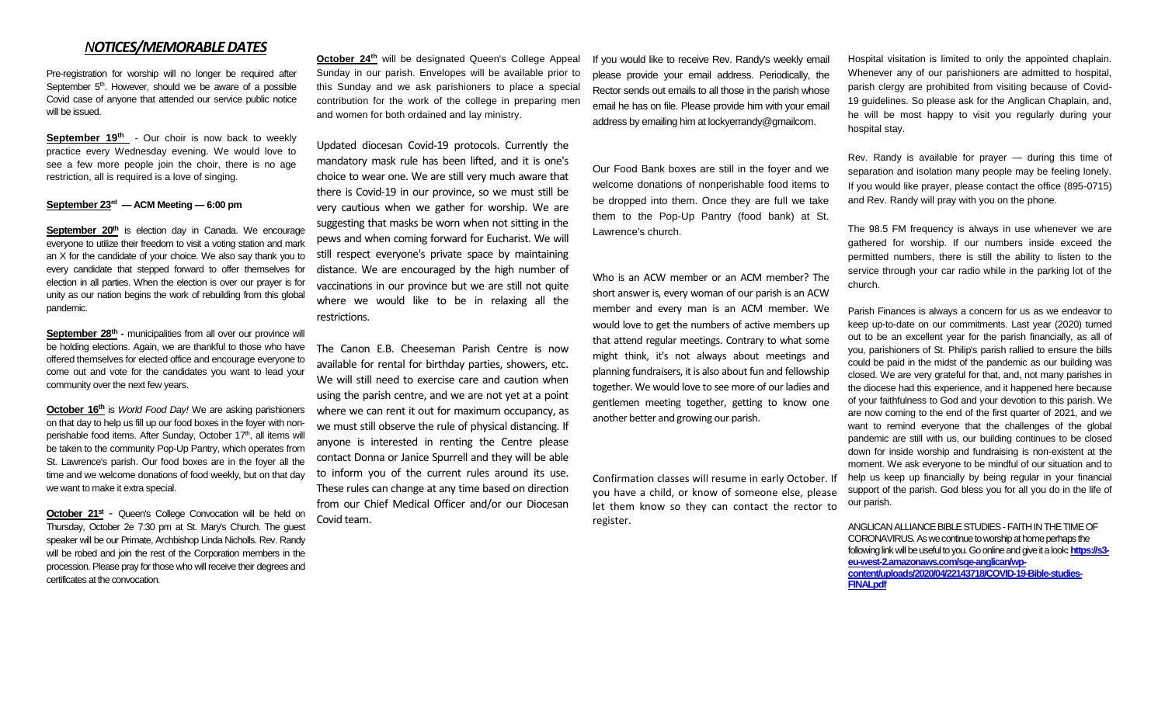## *NOTICES/MEMORABLE DATES*

Pre-registration for worship will no longer be required after September  $5<sup>th</sup>$ . However, should we be aware of a possible Covid case of anyone that attended our service public notice will be issued.

**September 19th** - Our choir is now back to weekly practice every Wednesday evening. We would love to see a few more people join the choir, there is no age restriction, all is required is a love of singing.

### **September 23rd — ACM Meeting — 6:00 pm**

**September 20<sup>th</sup>** is election day in Canada. We encourage everyone to utilize their freedom to visit a voting station and mark an X for the candidate of your choice. We also say thank you to every candidate that stepped forward to offer themselves for election in all parties. When the election is over our prayer is for unity as our nation begins the work of rebuilding from this global pandemic.

September 28<sup>th</sup> - municipalities from all over our province will be holding elections. Again, we are thankful to those who have offered themselves for elected office and encourage everyone to come out and vote for the candidates you want to lead your community over the next few years.

**October 16th** is *World Food Day!* We are asking parishioners on that day to help us fill up our food boxes in the foyer with nonperishable food items. After Sunday, October 17<sup>th</sup>, all items will be taken to the community Pop-Up Pantry, which operates from St. Lawrence's parish. Our food boxes are in the foyer all the time and we welcome donations of food weekly, but on that day we want to make it extra special.

**October 21st** - Queen's College Convocation will be held on Thursday, October 2e 7:30 pm at St. Mary's Church. The guest speaker will be our Primate, Archbishop Linda Nicholls. Rev. Randy will be robed and join the rest of the Corporation members in the procession. Please pray for those who will receive their degrees and certificates at the convocation.

**October 24<sup>th</sup>** will be designated Queen's College Appeal Sunday in our parish. Envelopes will be available prior to this Sunday and we ask parishioners to place a special contribution for the work of the college in preparing men and women for both ordained and lay ministry.

Updated diocesan Covid-19 protocols. Currently the mandatory mask rule has been lifted, and it is one's choice to wear one. We are still very much aware that there is Covid-19 in our province, so we must still be very cautious when we gather for worship. We are suggesting that masks be worn when not sitting in the pews and when coming forward for Eucharist. We will still respect everyone's private space by maintaining distance. We are encouraged by the high number of vaccinations in our province but we are still not quite where we would like to be in relaxing all the restrictions.

The Canon E.B. Cheeseman Parish Centre is now available for rental for birthday parties, showers, etc. We will still need to exercise care and caution when using the parish centre, and we are not yet at a point where we can rent it out for maximum occupancy, as we must still observe the rule of physical distancing. If anyone is interested in renting the Centre please contact Donna or Janice Spurrell and they will be able to inform you of the current rules around its use. These rules can change at any time based on direction from our Chief Medical Officer and/or our Diocesan Covid team.

If you would like to receive Rev. Randy's weekly email please provide your email address. Periodically, the Rector sends out emails to all those in the parish whose email he has on file. Please provide him with your email address by emailing him at lockyerrandy@gmailcom.

Our Food Bank boxes are still in the foyer and we welcome donations of nonperishable food items to be dropped into them. Once they are full we take them to the Pop-Up Pantry (food bank) at St. Lawrence's church.

# Who is an ACW member or an ACM member? The

short answer is, every woman of our parish is an ACW member and every man is an ACM member. We would love to get the numbers of active members up that attend regular meetings. Contrary to what some might think, it's not always about meetings and planning fundraisers, it is also about fun and fellowship together. We would love to see more of our ladies and gentlemen meeting together, getting to know one another better and growing our parish.

Confirmation classes will resume in early October. If you have a child, or know of someone else, please let them know so they can contact the rector to register.

Hospital visitation is limited to only the appointed chaplain. Whenever any of our parishioners are admitted to hospital, parish clergy are prohibited from visiting because of Covid-19 guidelines. So please ask for the Anglican Chaplain, and, he will be most happy to visit you regularly during your hospital stay.

Rev. Randy is available for prayer — during this time of separation and isolation many people may be feeling lonely. If you would like prayer, please contact the office (895-0715) and Rev. Randy will pray with you on the phone.

The 98.5 FM frequency is always in use whenever we are gathered for worship. If our numbers inside exceed the permitted numbers, there is still the ability to listen to the service through your car radio while in the parking lot of the church.

Parish Finances is always a concern for us as we endeavor to keep up-to-date on our commitments. Last year (2020) turned out to be an excellent year for the parish financially, as all of you, parishioners of St. Philip's parish rallied to ensure the bills could be paid in the midst of the pandemic as our building was closed. We are very grateful for that, and, not many parishes in the diocese had this experience, and it happened here because of your faithfulness to God and your devotion to this parish. We are now coming to the end of the first quarter of 2021, and we want to remind everyone that the challenges of the global pandemic are still with us, our building continues to be closed down for inside worship and fundraising is non-existent at the moment. We ask everyone to be mindful of our situation and to help us keep up financially by being regular in your financial support of the parish. God bless you for all you do in the life of our parish.

ANGLICAN ALLIANCE BIBLE STUDIES -FAITH IN THE TIME OF CORONAVIRUS. As we continue to worship at home perhaps the following link will be useful to you. Go online and give it a look**[: https://s3](https://s3-eu-west-2.amazonaws.com/sqe-anglican/wp-content/uploads/2020/04/22143718/COVID-19-Bible-studies-FINALpdf) [eu-west-2.amazonaws.com/sqe-anglican/wp](https://s3-eu-west-2.amazonaws.com/sqe-anglican/wp-content/uploads/2020/04/22143718/COVID-19-Bible-studies-FINALpdf)[content/uploads/2020/04/22143718/COVID-19-Bible-studies-](https://s3-eu-west-2.amazonaws.com/sqe-anglican/wp-content/uploads/2020/04/22143718/COVID-19-Bible-studies-FINALpdf)[FINALpdf](https://s3-eu-west-2.amazonaws.com/sqe-anglican/wp-content/uploads/2020/04/22143718/COVID-19-Bible-studies-FINALpdf)**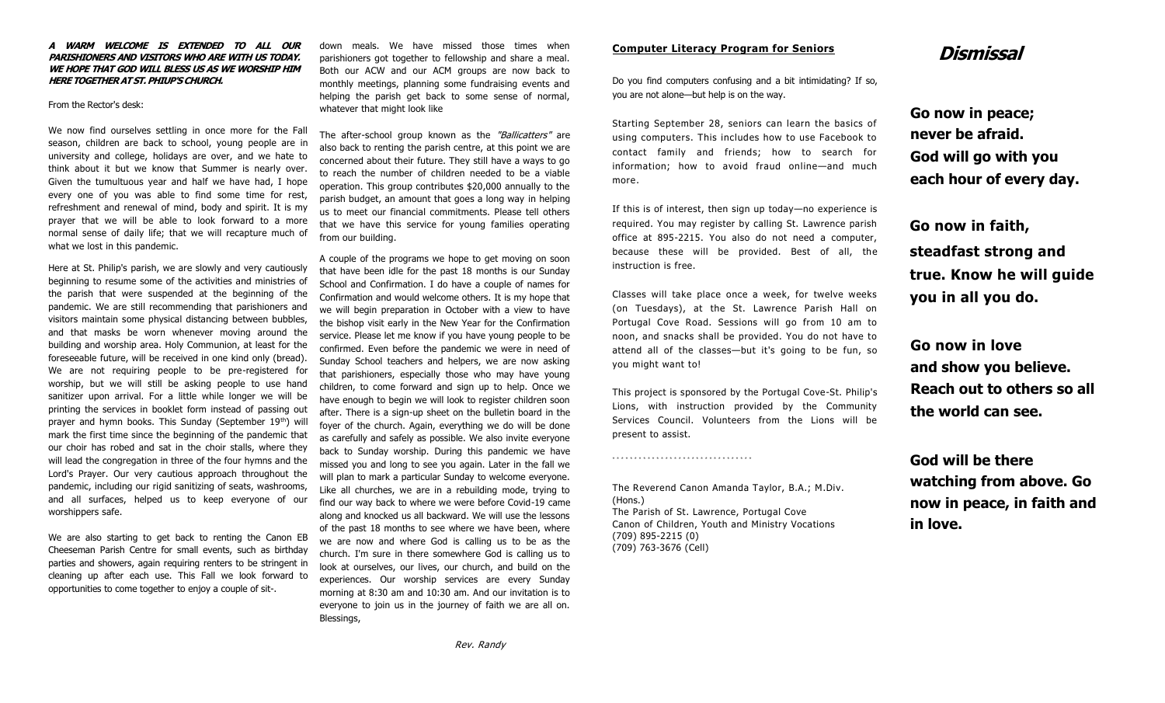### **A WARM WELCOME IS EXTENDED TO ALL OUR PARISHIONERS AND VISITORS WHO ARE WITH US TODAY. WE HOPE THAT GOD WILL BLESS US AS WE WORSHIP HIM HERE TOGETHER AT ST. PHIUP'S CHURCH.**

### From the Rector's desk:

We now find ourselves settling in once more for the Fall season, children are back to school, young people are in university and college, holidays are over, and we hate to think about it but we know that Summer is nearly over. Given the tumultuous year and half we have had, I hope every one of you was able to find some time for rest, refreshment and renewal of mind, body and spirit. It is my prayer that we will be able to look forward to a more normal sense of daily life; that we will recapture much of what we lost in this pandemic.

Here at St. Philip's parish, we are slowly and very cautiously beginning to resume some of the activities and ministries of the parish that were suspended at the beginning of the pandemic. We are still recommending that parishioners and visitors maintain some physical distancing between bubbles, and that masks be worn whenever moving around the building and worship area. Holy Communion, at least for the foreseeable future, will be received in one kind only (bread). We are not requiring people to be pre-registered for worship, but we will still be asking people to use hand sanitizer upon arrival. For a little while longer we will be printing the services in booklet form instead of passing out prayer and hymn books. This Sunday (September 19<sup>th</sup>) will mark the first time since the beginning of the pandemic that our choir has robed and sat in the choir stalls, where they will lead the congregation in three of the four hymns and the Lord's Prayer. Our very cautious approach throughout the pandemic, including our rigid sanitizing of seats, washrooms, and all surfaces, helped us to keep everyone of our worshippers safe.

We are also starting to get back to renting the Canon EB Cheeseman Parish Centre for small events, such as birthday parties and showers, again requiring renters to be stringent in cleaning up after each use. This Fall we look forward to opportunities to come together to enjoy a couple of sit-.

down meals. We have missed those times when parishioners got together to fellowship and share a meal. Both our ACW and our ACM groups are now back to monthly meetings, planning some fundraising events and helping the parish get back to some sense of normal, whatever that might look like

The after-school group known as the "Ballicatters" are also back to renting the parish centre, at this point we are concerned about their future. They still have a ways to go to reach the number of children needed to be a viable operation. This group contributes \$20,000 annually to the parish budget, an amount that goes a long way in helping us to meet our financial commitments. Please tell others that we have this service for young families operating from our building.

A couple of the programs we hope to get moving on soon that have been idle for the past 18 months is our Sunday School and Confirmation. I do have a couple of names for Confirmation and would welcome others. It is my hope that we will begin preparation in October with a view to have the bishop visit early in the New Year for the Confirmation service. Please let me know if you have young people to be confirmed. Even before the pandemic we were in need of Sunday School teachers and helpers, we are now asking that parishioners, especially those who may have young children, to come forward and sign up to help. Once we have enough to begin we will look to register children soon after. There is a sign-up sheet on the bulletin board in the foyer of the church. Again, everything we do will be done as carefully and safely as possible. We also invite everyone back to Sunday worship. During this pandemic we have missed you and long to see you again. Later in the fall we will plan to mark a particular Sunday to welcome everyone. Like all churches, we are in a rebuilding mode, trying to find our way back to where we were before Covid-19 came along and knocked us all backward. We will use the lessons of the past 18 months to see where we have been, where we are now and where God is calling us to be as the church. I'm sure in there somewhere God is calling us to look at ourselves, our lives, our church, and build on the experiences. Our worship services are every Sunday morning at 8:30 am and 10:30 am. And our invitation is to everyone to join us in the journey of faith we are all on. Blessings,

### **Computer Literacy Program for Seniors**

Do you find computers confusing and a bit intimidating? If so, you are not alone—but help is on the way.

Starting September 28, seniors can learn the basics of using computers. This includes how to use Facebook to contact family and friends; how to search for information; how to avoid fraud online—and much more.

If this is of interest, then sign up today—no experience is required. You may register by calling St. Lawrence parish office at 895-2215. You also do not need a computer, because these will be provided. Best of all, the instruction is free.

Classes will take place once a week, for twelve weeks (on Tuesdays), at the St. Lawrence Parish Hall on Portugal Cove Road. Sessions will go from 10 am to noon, and snacks shall be provided. You do not have to attend all of the classes—but it's going to be fun, so you might want to!

This project is sponsored by the Portugal Cove-St. Philip's Lions, with instruction provided by the Community Services Council. Volunteers from the Lions will be present to assist.

The Reverend Canon Amanda Taylor, B.A.; M.Div. (Hons.) The Parish of St. Lawrence, Portugal Cove Canon of Children, Youth and Ministry Vocations (709) 895-2215 (0) (709) 763-3676 (Cell)

\*\*\*\*\*\*\*\*\*\*\*\*\*\*\*\*\*\*\*\*\*\*\*\*\*\*\*\*\*\*\*\*

# **Dismissal**

**Go now in peace; never be afraid. God will go with you each hour of every day.**

**Go now in faith, steadfast strong and true. Know he will guide you in all you do.**

**Go now in love and show you believe. Reach out to others so all the world can see.**

**God will be there watching from above. Go now in peace, in faith and in love.**